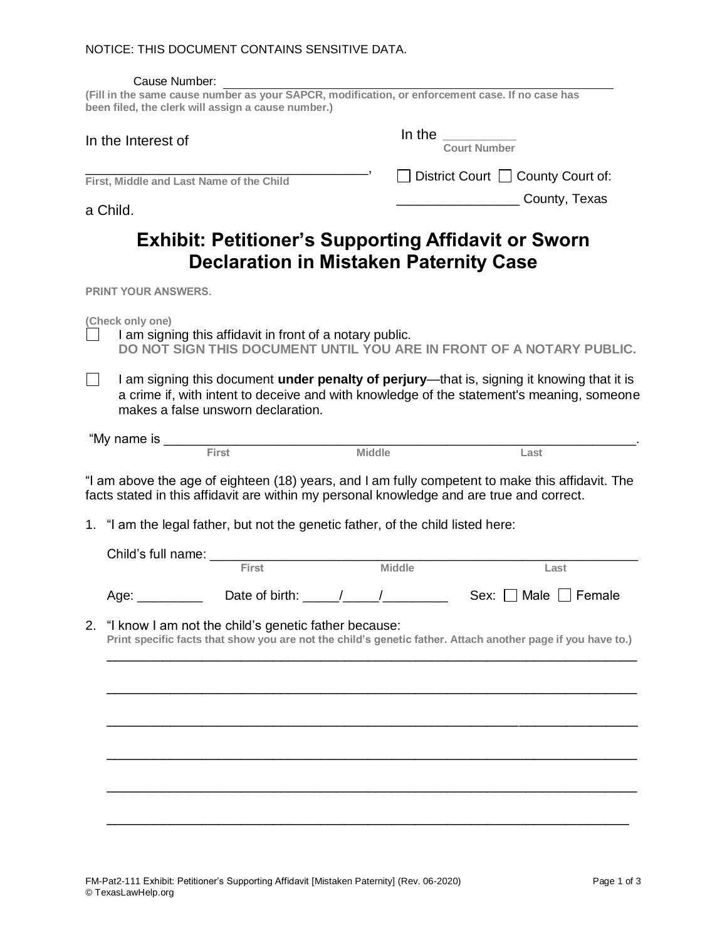|    | Cause Number:<br>(Fill in the same cause number as your SAPCR, modification, or enforcement case. If no case has<br>been filed, the clerk will assign a cause number.)                                                                                                            |                                               |               |                                                                                                                                                                                                                                                                                                                                                                                                                            |      |
|----|-----------------------------------------------------------------------------------------------------------------------------------------------------------------------------------------------------------------------------------------------------------------------------------|-----------------------------------------------|---------------|----------------------------------------------------------------------------------------------------------------------------------------------------------------------------------------------------------------------------------------------------------------------------------------------------------------------------------------------------------------------------------------------------------------------------|------|
|    | In the Interest of                                                                                                                                                                                                                                                                |                                               |               | In the $\frac{1}{\frac{1}{\sqrt{1-\frac{1}{\sqrt{1-\frac{1}{\sqrt{1-\frac{1}{\sqrt{1-\frac{1}{\sqrt{1-\frac{1}{\sqrt{1-\frac{1}{\sqrt{1-\frac{1}{\sqrt{1-\frac{1}{\sqrt{1-\frac{1}{\sqrt{1-\frac{1}{\sqrt{1-\frac{1}{\sqrt{1-\frac{1}{\sqrt{1-\frac{1}{\sqrt{1-\frac{1}{\sqrt{1-\frac{1}{\sqrt{1-\frac{1}{\sqrt{1-\frac{1}{\sqrt{1-\frac{1}{\sqrt{1-\frac{1}{\sqrt{1-\frac{1}{\sqrt{1-\frac{1}{\sqrt{1-\frac{1}{\sqrt{1-\$ |      |
|    | First, Middle and Last Name of the Child                                                                                                                                                                                                                                          |                                               |               | $\Box$ District Court $\Box$ County Court of:                                                                                                                                                                                                                                                                                                                                                                              |      |
|    | a Child.                                                                                                                                                                                                                                                                          |                                               |               | <b>County, Texas</b>                                                                                                                                                                                                                                                                                                                                                                                                       |      |
|    |                                                                                                                                                                                                                                                                                   | <b>Declaration in Mistaken Paternity Case</b> |               | <b>Exhibit: Petitioner's Supporting Affidavit or Sworn</b>                                                                                                                                                                                                                                                                                                                                                                 |      |
|    | <b>PRINT YOUR ANSWERS.</b>                                                                                                                                                                                                                                                        |                                               |               |                                                                                                                                                                                                                                                                                                                                                                                                                            |      |
|    | (Check only one)<br>I am signing this affidavit in front of a notary public.<br>DO NOT SIGN THIS DOCUMENT UNTIL YOU ARE IN FRONT OF A NOTARY PUBLIC.                                                                                                                              |                                               |               |                                                                                                                                                                                                                                                                                                                                                                                                                            |      |
|    | I am signing this document under penalty of perjury-that is, signing it knowing that it is<br>a crime if, with intent to deceive and with knowledge of the statement's meaning, someone<br>makes a false unsworn declaration.                                                     |                                               |               |                                                                                                                                                                                                                                                                                                                                                                                                                            |      |
|    | "My name is First Middle                                                                                                                                                                                                                                                          |                                               |               | Last                                                                                                                                                                                                                                                                                                                                                                                                                       |      |
|    | "I am above the age of eighteen (18) years, and I am fully competent to make this affidavit. The<br>facts stated in this affidavit are within my personal knowledge and are true and correct.<br>1. "I am the legal father, but not the genetic father, of the child listed here: |                                               |               |                                                                                                                                                                                                                                                                                                                                                                                                                            |      |
|    |                                                                                                                                                                                                                                                                                   | First                                         |               |                                                                                                                                                                                                                                                                                                                                                                                                                            |      |
|    |                                                                                                                                                                                                                                                                                   |                                               | <b>Middle</b> |                                                                                                                                                                                                                                                                                                                                                                                                                            | Last |
| 2. | Age: _<br>"I know I am not the child's genetic father because:<br>Print specific facts that show you are not the child's genetic father. Attach another page if you have to.)                                                                                                     | Date of birth: $\frac{\ }{\ }$                |               | Sex: $\Box$ Male $\Box$ Female                                                                                                                                                                                                                                                                                                                                                                                             |      |
|    |                                                                                                                                                                                                                                                                                   |                                               |               |                                                                                                                                                                                                                                                                                                                                                                                                                            |      |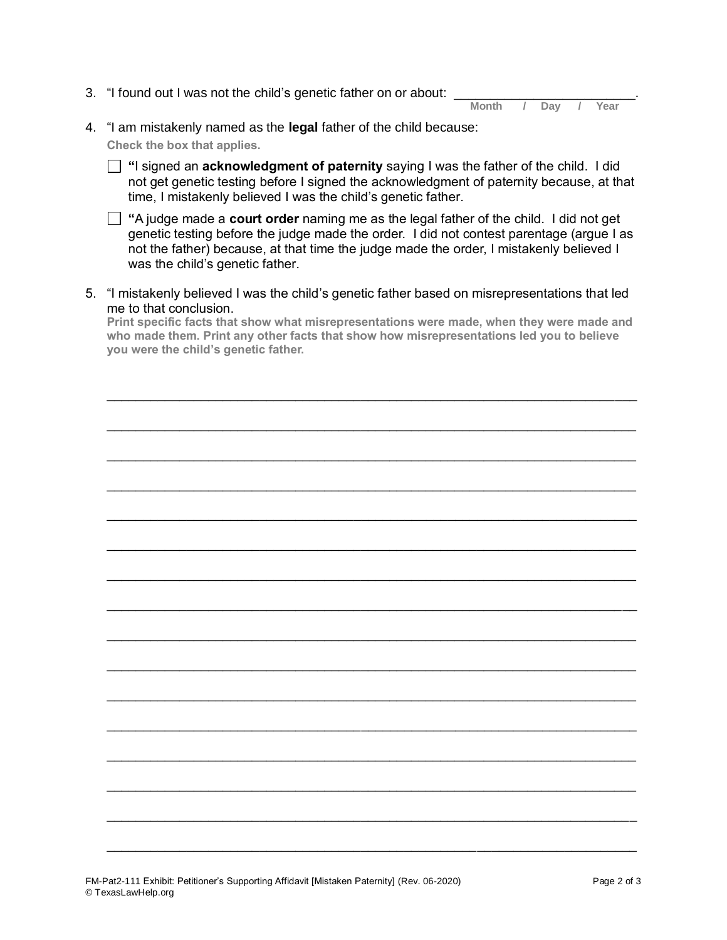3. "I found out I was not the child's genetic father on or about:

| <b>Month</b> | Dav | ×<br>Year |
|--------------|-----|-----------|
|              |     |           |

- 4. "I am mistakenly named as the **legal** father of the child because: **Check the box that applies.**
	- **"**I signed an **acknowledgment of paternity** saying I was the father of the child. I did not get genetic testing before I signed the acknowledgment of paternity because, at that time, I mistakenly believed I was the child's genetic father.
	- **"**A judge made a **court order** naming me as the legal father of the child. I did not get genetic testing before the judge made the order. I did not contest parentage (argue I as not the father) because, at that time the judge made the order, I mistakenly believed I was the child's genetic father.
- 5. "I mistakenly believed I was the child's genetic father based on misrepresentations that led me to that conclusion.

**Print specific facts that show what misrepresentations were made, when they were made and who made them. Print any other facts that show how misrepresentations led you to believe you were the child's genetic father.**